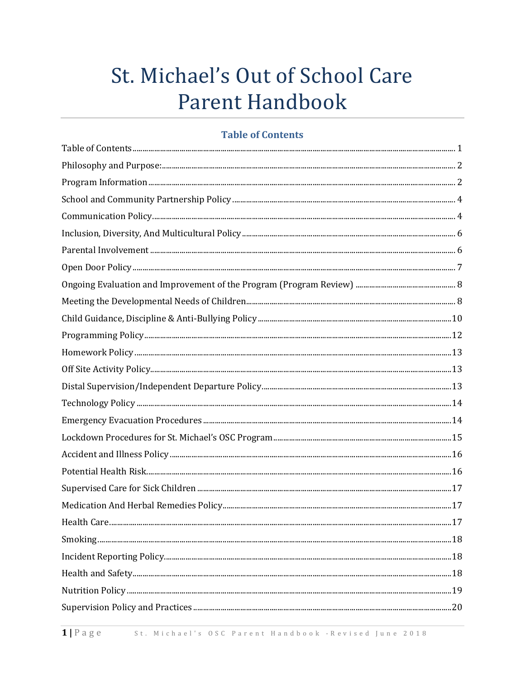# St. Michael's Out of School Care **Parent Handbook**

#### **Table of Contents**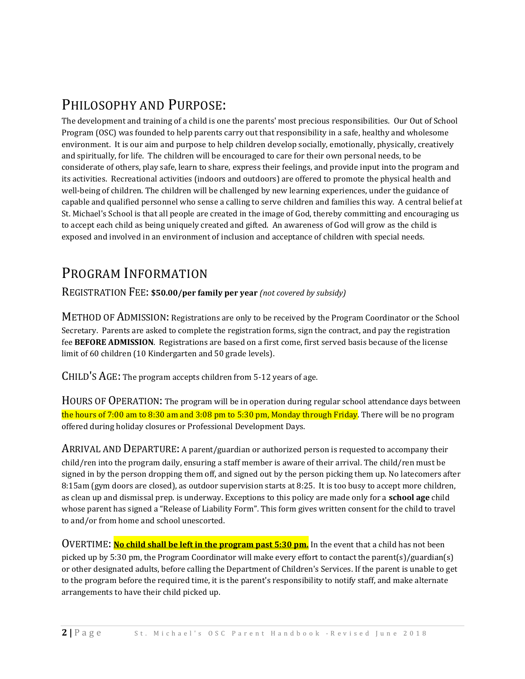## PHILOSOPHY AND PURPOSE:

The development and training of a child is one the parents' most precious responsibilities. Our Out of School Program (OSC) was founded to help parents carry out that responsibility in a safe, healthy and wholesome environment. It is our aim and purpose to help children develop socially, emotionally, physically, creatively and spiritually, for life. The children will be encouraged to care for their own personal needs, to be considerate of others, play safe, learn to share, express their feelings, and provide input into the program and its activities. Recreational activities (indoors and outdoors) are offered to promote the physical health and well-being of children. The children will be challenged by new learning experiences, under the guidance of capable and qualified personnel who sense a calling to serve children and families this way. A central belief at St. Michael's School is that all people are created in the image of God, thereby committing and encouraging us to accept each child as being uniquely created and gifted. An awareness of God will grow as the child is exposed and involved in an environment of inclusion and acceptance of children with special needs.

## PROGRAM INFORMATION

REGISTRATION FEE: **\$50.00/per family per year** *(not covered by subsidy)*

METHOD OF ADMISSION: Registrations are only to be received by the Program Coordinator or the School Secretary. Parents are asked to complete the registration forms, sign the contract, and pay the registration fee **BEFORE ADMISSION**. Registrations are based on a first come, first served basis because of the license limit of 60 children (10 Kindergarten and 50 grade levels).

CHILD'S AGE: The program accepts children from 5-12 years of age.

HOURS OF OPERATION: The program will be in operation during regular school attendance days between the hours of 7:00 am to 8:30 am and 3:08 pm to 5:30 pm, Monday through Friday. There will be no program offered during holiday closures or Professional Development Days.

ARRIVAL AND DEPARTURE: A parent/guardian or authorized person is requested to accompany their child/ren into the program daily, ensuring a staff member is aware of their arrival. The child/ren must be signed in by the person dropping them off, and signed out by the person picking them up. No latecomers after 8:15am (gym doors are closed), as outdoor supervision starts at 8:25. It is too busy to accept more children, as clean up and dismissal prep. is underway. Exceptions to this policy are made only for a **school age** child whose parent has signed a "Release of Liability Form". This form gives written consent for the child to travel to and/or from home and school unescorted.

OVERTIME: **No child shall be left in the program past 5:30 pm.** In the event that a child has not been picked up by 5:30 pm, the Program Coordinator will make every effort to contact the parent(s)/guardian(s) or other designated adults, before calling the Department of Children's Services. If the parent is unable to get to the program before the required time, it is the parent's responsibility to notify staff, and make alternate arrangements to have their child picked up.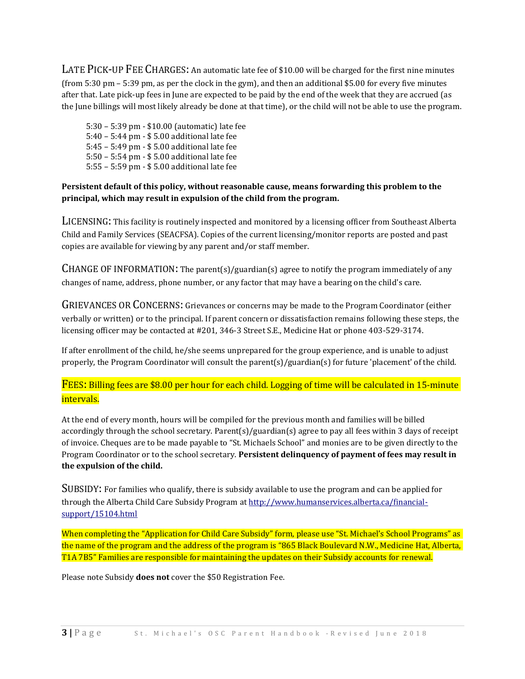LATE PICK-UP FEE CHARGES: An automatic late fee of \$10.00 will be charged for the first nine minutes (from 5:30 pm – 5:39 pm, as per the clock in the gym), and then an additional \$5.00 for every five minutes after that. Late pick-up fees in June are expected to be paid by the end of the week that they are accrued (as the June billings will most likely already be done at that time), or the child will not be able to use the program.

5:30 – 5:39 pm - \$10.00 (automatic) late fee 5:40 – 5:44 pm - \$ 5.00 additional late fee 5:45 – 5:49 pm - \$ 5.00 additional late fee 5:50 – 5:54 pm - \$ 5.00 additional late fee 5:55 – 5:59 pm - \$ 5.00 additional late fee

#### **Persistent default of this policy, without reasonable cause, means forwarding this problem to the principal, which may result in expulsion of the child from the program.**

LICENSING: This facility is routinely inspected and monitored by a licensing officer from Southeast Alberta Child and Family Services (SEACFSA). Copies of the current licensing/monitor reports are posted and past copies are available for viewing by any parent and/or staff member.

CHANGE OF INFORMATION: The parent(s)/guardian(s) agree to notify the program immediately of any changes of name, address, phone number, or any factor that may have a bearing on the child's care.

GRIEVANCES OR CONCERNS: Grievances or concerns may be made to the Program Coordinator (either verbally or written) or to the principal. If parent concern or dissatisfaction remains following these steps, the licensing officer may be contacted at #201, 346-3 Street S.E., Medicine Hat or phone 403-529-3174.

If after enrollment of the child, he/she seems unprepared for the group experience, and is unable to adjust properly, the Program Coordinator will consult the parent(s)/guardian(s) for future 'placement' of the child.

FEES: Billing fees are \$8.00 per hour for each child. Logging of time will be calculated in 15-minute intervals.

At the end of every month, hours will be compiled for the previous month and families will be billed accordingly through the school secretary. Parent(s)/guardian(s) agree to pay all fees within 3 days of receipt of invoice. Cheques are to be made payable to "St. Michaels School" and monies are to be given directly to the Program Coordinator or to the school secretary. **Persistent delinquency of payment of fees may result in the expulsion of the child.** 

SUBSIDY: For families who qualify, there is subsidy available to use the program and can be applied for through the Alberta Child Care Subsidy Program a[t http://www.humanservices.alberta.ca/financial](http://www.humanservices.alberta.ca/financial-support/15104.html)[support/15104.html](http://www.humanservices.alberta.ca/financial-support/15104.html)

When completing the "Application for Child Care Subsidy" form, please use "St. Michael's School Programs" as the name of the program and the address of the program is "865 Black Boulevard N.W., Medicine Hat, Alberta, T1A 7B5" Families are responsible for maintaining the updates on their Subsidy accounts for renewal.

Please note Subsidy **does not** cover the \$50 Registration Fee.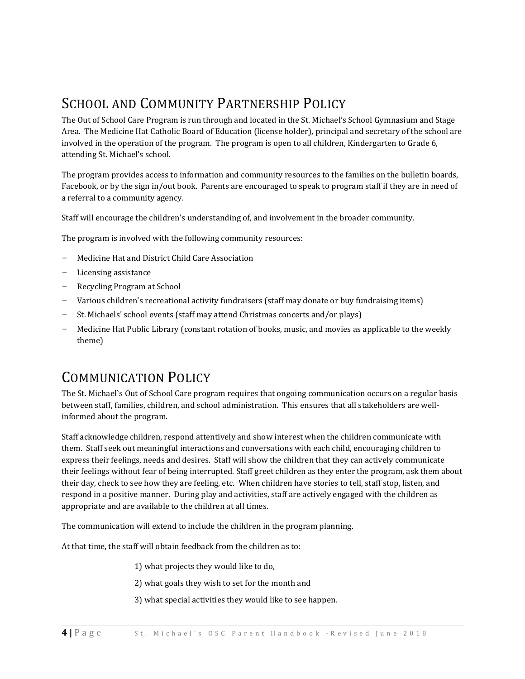## SCHOOL AND COMMUNITY PARTNERSHIP POLICY

The Out of School Care Program is run through and located in the St. Michael's School Gymnasium and Stage Area. The Medicine Hat Catholic Board of Education (license holder), principal and secretary of the school are involved in the operation of the program. The program is open to all children, Kindergarten to Grade 6, attending St. Michael's school.

The program provides access to information and community resources to the families on the bulletin boards, Facebook, or by the sign in/out book. Parents are encouraged to speak to program staff if they are in need of a referral to a community agency.

Staff will encourage the children's understanding of, and involvement in the broader community.

The program is involved with the following community resources:

- Medicine Hat and District Child Care Association
- Licensing assistance
- Recycling Program at School
- Various children's recreational activity fundraisers (staff may donate or buy fundraising items)
- St. Michaels' school events (staff may attend Christmas concerts and/or plays)
- Medicine Hat Public Library (constant rotation of books, music, and movies as applicable to the weekly theme)

## COMMUNICATION POLICY

The St. Michael`s Out of School Care program requires that ongoing communication occurs on a regular basis between staff, families, children, and school administration. This ensures that all stakeholders are wellinformed about the program.

Staff acknowledge children, respond attentively and show interest when the children communicate with them. Staff seek out meaningful interactions and conversations with each child, encouraging children to express their feelings, needs and desires. Staff will show the children that they can actively communicate their feelings without fear of being interrupted. Staff greet children as they enter the program, ask them about their day, check to see how they are feeling, etc. When children have stories to tell, staff stop, listen, and respond in a positive manner. During play and activities, staff are actively engaged with the children as appropriate and are available to the children at all times.

The communication will extend to include the children in the program planning.

At that time, the staff will obtain feedback from the children as to:

- 1) what projects they would like to do,
- 2) what goals they wish to set for the month and
- 3) what special activities they would like to see happen.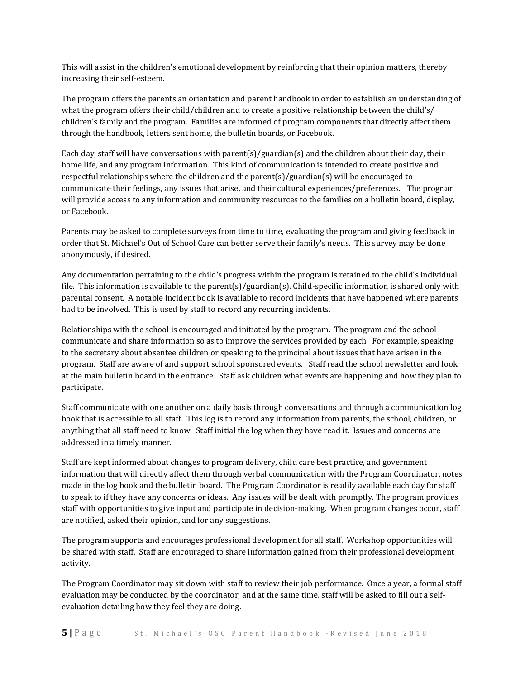This will assist in the children's emotional development by reinforcing that their opinion matters, thereby increasing their self-esteem.

The program offers the parents an orientation and parent handbook in order to establish an understanding of what the program offers their child/children and to create a positive relationship between the child's/ children's family and the program. Families are informed of program components that directly affect them through the handbook, letters sent home, the bulletin boards, or Facebook.

Each day, staff will have conversations with parent(s)/guardian(s) and the children about their day, their home life, and any program information. This kind of communication is intended to create positive and respectful relationships where the children and the parent(s)/guardian(s) will be encouraged to communicate their feelings, any issues that arise, and their cultural experiences/preferences. The program will provide access to any information and community resources to the families on a bulletin board, display, or Facebook.

Parents may be asked to complete surveys from time to time, evaluating the program and giving feedback in order that St. Michael's Out of School Care can better serve their family's needs. This survey may be done anonymously, if desired.

Any documentation pertaining to the child's progress within the program is retained to the child's individual file. This information is available to the parent(s)/guardian(s). Child-specific information is shared only with parental consent. A notable incident book is available to record incidents that have happened where parents had to be involved. This is used by staff to record any recurring incidents.

Relationships with the school is encouraged and initiated by the program. The program and the school communicate and share information so as to improve the services provided by each. For example, speaking to the secretary about absentee children or speaking to the principal about issues that have arisen in the program. Staff are aware of and support school sponsored events. Staff read the school newsletter and look at the main bulletin board in the entrance. Staff ask children what events are happening and how they plan to participate.

Staff communicate with one another on a daily basis through conversations and through a communication log book that is accessible to all staff. This log is to record any information from parents, the school, children, or anything that all staff need to know. Staff initial the log when they have read it. Issues and concerns are addressed in a timely manner.

Staff are kept informed about changes to program delivery, child care best practice, and government information that will directly affect them through verbal communication with the Program Coordinator, notes made in the log book and the bulletin board. The Program Coordinator is readily available each day for staff to speak to if they have any concerns or ideas. Any issues will be dealt with promptly. The program provides staff with opportunities to give input and participate in decision-making. When program changes occur, staff are notified, asked their opinion, and for any suggestions.

The program supports and encourages professional development for all staff. Workshop opportunities will be shared with staff. Staff are encouraged to share information gained from their professional development activity.

The Program Coordinator may sit down with staff to review their job performance. Once a year, a formal staff evaluation may be conducted by the coordinator, and at the same time, staff will be asked to fill out a selfevaluation detailing how they feel they are doing.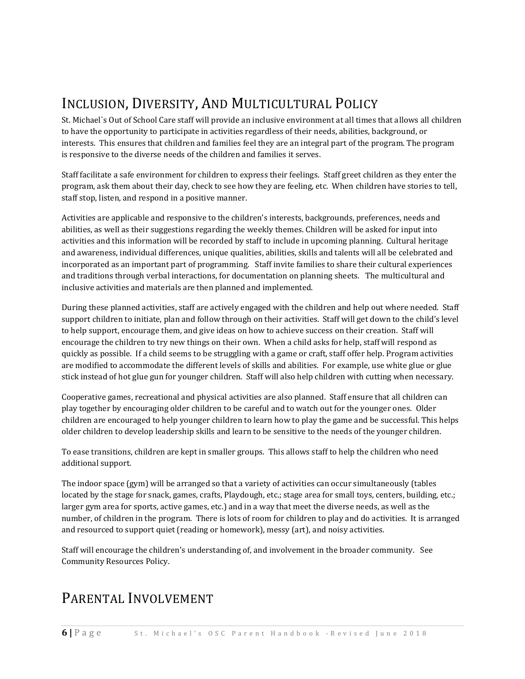## INCLUSION, DIVERSITY, AND MULTICULTURAL POLICY

St. Michael`s Out of School Care staff will provide an inclusive environment at all times that allows all children to have the opportunity to participate in activities regardless of their needs, abilities, background, or interests. This ensures that children and families feel they are an integral part of the program. The program is responsive to the diverse needs of the children and families it serves.

Staff facilitate a safe environment for children to express their feelings. Staff greet children as they enter the program, ask them about their day, check to see how they are feeling, etc. When children have stories to tell, staff stop, listen, and respond in a positive manner.

Activities are applicable and responsive to the children's interests, backgrounds, preferences, needs and abilities, as well as their suggestions regarding the weekly themes. Children will be asked for input into activities and this information will be recorded by staff to include in upcoming planning. Cultural heritage and awareness, individual differences, unique qualities, abilities, skills and talents will all be celebrated and incorporated as an important part of programming. Staff invite families to share their cultural experiences and traditions through verbal interactions, for documentation on planning sheets. The multicultural and inclusive activities and materials are then planned and implemented.

During these planned activities, staff are actively engaged with the children and help out where needed. Staff support children to initiate, plan and follow through on their activities. Staff will get down to the child's level to help support, encourage them, and give ideas on how to achieve success on their creation. Staff will encourage the children to try new things on their own. When a child asks for help, staff will respond as quickly as possible. If a child seems to be struggling with a game or craft, staff offer help. Program activities are modified to accommodate the different levels of skills and abilities. For example, use white glue or glue stick instead of hot glue gun for younger children. Staff will also help children with cutting when necessary.

Cooperative games, recreational and physical activities are also planned. Staff ensure that all children can play together by encouraging older children to be careful and to watch out for the younger ones. Older children are encouraged to help younger children to learn how to play the game and be successful. This helps older children to develop leadership skills and learn to be sensitive to the needs of the younger children.

To ease transitions, children are kept in smaller groups. This allows staff to help the children who need additional support.

The indoor space (gym) will be arranged so that a variety of activities can occur simultaneously (tables located by the stage for snack, games, crafts, Playdough, etc.; stage area for small toys, centers, building, etc.; larger gym area for sports, active games, etc.) and in a way that meet the diverse needs, as well as the number, of children in the program. There is lots of room for children to play and do activities. It is arranged and resourced to support quiet (reading or homework), messy (art), and noisy activities.

Staff will encourage the children's understanding of, and involvement in the broader community. See Community Resources Policy.

## PARENTAL INVOLVEMENT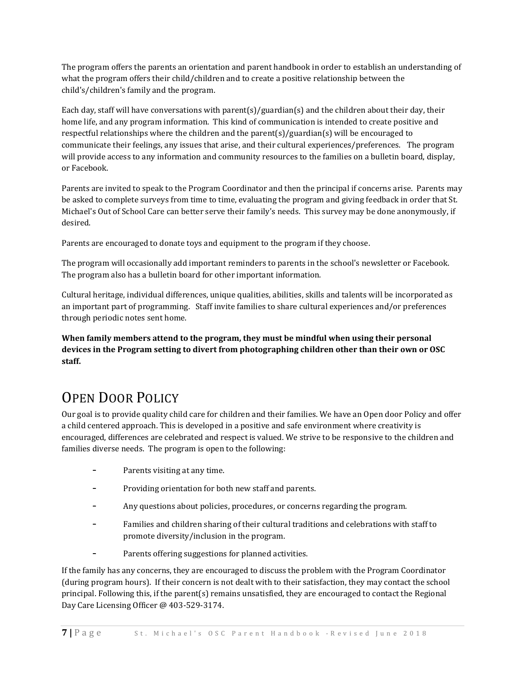The program offers the parents an orientation and parent handbook in order to establish an understanding of what the program offers their child/children and to create a positive relationship between the child's/children's family and the program.

Each day, staff will have conversations with parent(s)/guardian(s) and the children about their day, their home life, and any program information. This kind of communication is intended to create positive and respectful relationships where the children and the parent(s)/guardian(s) will be encouraged to communicate their feelings, any issues that arise, and their cultural experiences/preferences. The program will provide access to any information and community resources to the families on a bulletin board, display, or Facebook.

Parents are invited to speak to the Program Coordinator and then the principal if concerns arise. Parents may be asked to complete surveys from time to time, evaluating the program and giving feedback in order that St. Michael's Out of School Care can better serve their family's needs. This survey may be done anonymously, if desired.

Parents are encouraged to donate toys and equipment to the program if they choose.

The program will occasionally add important reminders to parents in the school's newsletter or Facebook. The program also has a bulletin board for other important information.

Cultural heritage, individual differences, unique qualities, abilities, skills and talents will be incorporated as an important part of programming. Staff invite families to share cultural experiences and/or preferences through periodic notes sent home.

**When family members attend to the program, they must be mindful when using their personal devices in the Program setting to divert from photographing children other than their own or OSC staff.** 

## OPEN DOOR POLICY

Our goal is to provide quality child care for children and their families. We have an Open door Policy and offer a child centered approach. This is developed in a positive and safe environment where creativity is encouraged, differences are celebrated and respect is valued. We strive to be responsive to the children and families diverse needs. The program is open to the following:

- Parents visiting at any time.
- Providing orientation for both new staff and parents.
- Any questions about policies, procedures, or concerns regarding the program.
- Families and children sharing of their cultural traditions and celebrations with staff to promote diversity/inclusion in the program.
- Parents offering suggestions for planned activities.

If the family has any concerns, they are encouraged to discuss the problem with the Program Coordinator (during program hours). If their concern is not dealt with to their satisfaction, they may contact the school principal. Following this, if the parent(s) remains unsatisfied, they are encouraged to contact the Regional Day Care Licensing Officer @ 403-529-3174.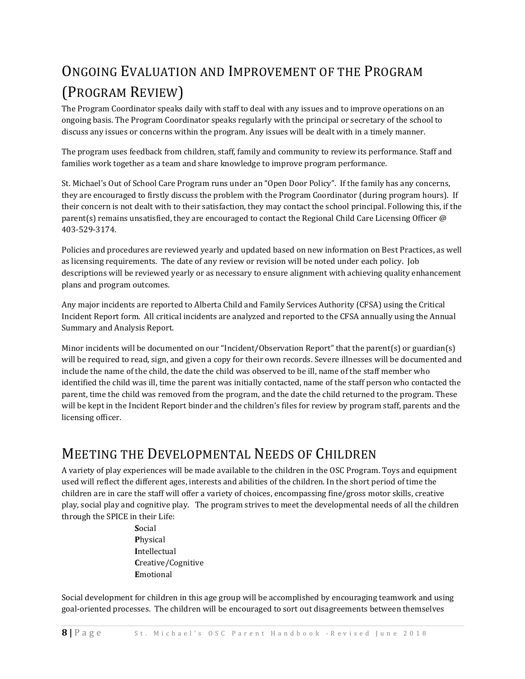## ONGOING EVALUATION AND IMPROVEMENT OF THE PROGRAM (PROGRAM REVIEW)

The Program Coordinator speaks daily with staff to deal with any issues and to improve operations on an ongoing basis. The Program Coordinator speaks regularly with the principal or secretary of the school to discuss any issues or concerns within the program. Any issues will be dealt with in a timely manner.

The program uses feedback from children, staff, family and community to review its performance. Staff and families work together as a team and share knowledge to improve program performance.

St. Michael's Out of School Care Program runs under an "Open Door Policy". If the family has any concerns, they are encouraged to firstly discuss the problem with the Program Coordinator (during program hours). If their concern is not dealt with to their satisfaction, they may contact the school principal. Following this, if the parent(s) remains unsatisfied, they are encouraged to contact the Regional Child Care Licensing Officer @ 403-529-3174.

Policies and procedures are reviewed yearly and updated based on new information on Best Practices, as well as licensing requirements. The date of any review or revision will be noted under each policy. Job descriptions will be reviewed yearly or as necessary to ensure alignment with achieving quality enhancement plans and program outcomes.

Any major incidents are reported to Alberta Child and Family Services Authority (CFSA) using the Critical Incident Report form. All critical incidents are analyzed and reported to the CFSA annually using the Annual Summary and Analysis Report.

Minor incidents will be documented on our "Incident/Observation Report" that the parent(s) or guardian(s) will be required to read, sign, and given a copy for their own records. Severe illnesses will be documented and include the name of the child, the date the child was observed to be ill, name of the staff member who identified the child was ill, time the parent was initially contacted, name of the staff person who contacted the parent, time the child was removed from the program, and the date the child returned to the program. These will be kept in the Incident Report binder and the children's files for review by program staff, parents and the licensing officer.

### MEETING THE DEVELOPMENTAL NEEDS OF CHILDREN

A variety of play experiences will be made available to the children in the OSC Program. Toys and equipment used will reflect the different ages, interests and abilities of the children. In the short period of time the children are in care the staff will offer a variety of choices, encompassing fine/gross motor skills, creative play, social play and cognitive play. The program strives to meet the developmental needs of all the children through the SPICE in their Life:

> **S**ocial **P**hysical **I**ntellectual **C**reative/Cognitive **E**motional

Social development for children in this age group will be accomplished by encouraging teamwork and using goal-oriented processes. The children will be encouraged to sort out disagreements between themselves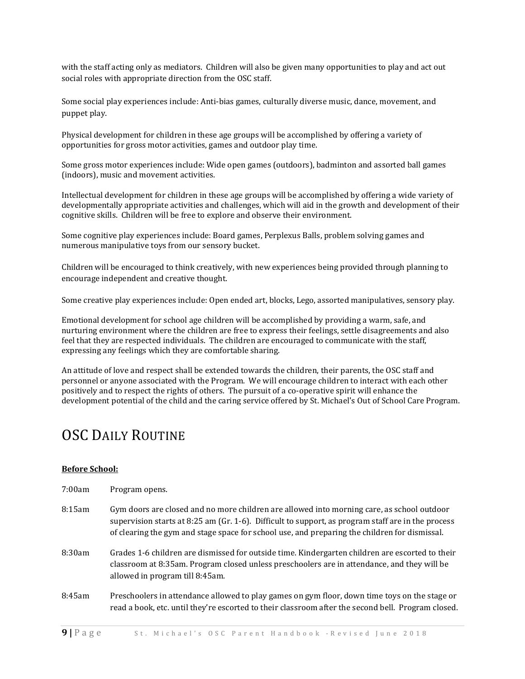with the staff acting only as mediators. Children will also be given many opportunities to play and act out social roles with appropriate direction from the OSC staff.

Some social play experiences include: Anti-bias games, culturally diverse music, dance, movement, and puppet play.

Physical development for children in these age groups will be accomplished by offering a variety of opportunities for gross motor activities, games and outdoor play time.

Some gross motor experiences include: Wide open games (outdoors), badminton and assorted ball games (indoors), music and movement activities.

Intellectual development for children in these age groups will be accomplished by offering a wide variety of developmentally appropriate activities and challenges, which will aid in the growth and development of their cognitive skills. Children will be free to explore and observe their environment.

Some cognitive play experiences include: Board games, Perplexus Balls, problem solving games and numerous manipulative toys from our sensory bucket.

Children will be encouraged to think creatively, with new experiences being provided through planning to encourage independent and creative thought.

Some creative play experiences include: Open ended art, blocks, Lego, assorted manipulatives, sensory play.

Emotional development for school age children will be accomplished by providing a warm, safe, and nurturing environment where the children are free to express their feelings, settle disagreements and also feel that they are respected individuals. The children are encouraged to communicate with the staff, expressing any feelings which they are comfortable sharing.

An attitude of love and respect shall be extended towards the children, their parents, the OSC staff and personnel or anyone associated with the Program. We will encourage children to interact with each other positively and to respect the rights of others. The pursuit of a co-operative spirit will enhance the development potential of the child and the caring service offered by St. Michael's Out of School Care Program.

### OSC DAILY ROUTINE

#### **Before School:**

| 7:00am | Program opens.                                                                                                                                                                                                                                                                                      |
|--------|-----------------------------------------------------------------------------------------------------------------------------------------------------------------------------------------------------------------------------------------------------------------------------------------------------|
| 8:15am | Gym doors are closed and no more children are allowed into morning care, as school outdoor<br>supervision starts at $8:25$ am (Gr. 1-6). Difficult to support, as program staff are in the process<br>of clearing the gym and stage space for school use, and preparing the children for dismissal. |
| 8:30am | Grades 1-6 children are dismissed for outside time. Kindergarten children are escorted to their<br>classroom at 8:35am. Program closed unless preschoolers are in attendance, and they will be<br>allowed in program till 8:45am.                                                                   |
| 8:45am | Preschoolers in attendance allowed to play games on gym floor, down time toys on the stage or<br>read a book, etc. until they're escorted to their classroom after the second bell. Program closed.                                                                                                 |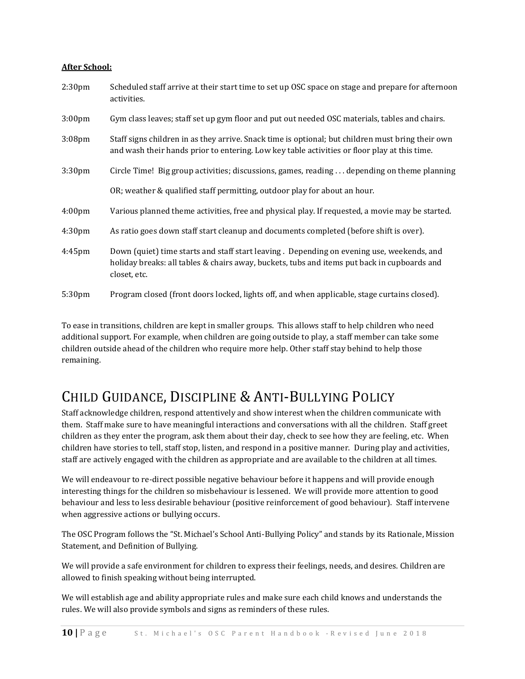#### **After School:**

| 2:30 <sub>pm</sub> | Scheduled staff arrive at their start time to set up OSC space on stage and prepare for afternoon<br>activities.                                                                                         |
|--------------------|----------------------------------------------------------------------------------------------------------------------------------------------------------------------------------------------------------|
| 3:00 <sub>pm</sub> | Gym class leaves; staff set up gym floor and put out needed OSC materials, tables and chairs.                                                                                                            |
| 3:08 <sub>pm</sub> | Staff signs children in as they arrive. Snack time is optional; but children must bring their own<br>and wash their hands prior to entering. Low key table activities or floor play at this time.        |
| 3:30 <sub>pm</sub> | Circle Time! Big group activities; discussions, games, reading $\dots$ depending on theme planning                                                                                                       |
|                    | OR; weather & qualified staff permitting, outdoor play for about an hour.                                                                                                                                |
| 4:00 <sub>pm</sub> | Various planned theme activities, free and physical play. If requested, a movie may be started.                                                                                                          |
| 4:30 <sub>pm</sub> | As ratio goes down staff start cleanup and documents completed (before shift is over).                                                                                                                   |
| $4:45$ pm          | Down (quiet) time starts and staff start leaving. Depending on evening use, weekends, and<br>holiday breaks: all tables & chairs away, buckets, tubs and items put back in cupboards and<br>closet, etc. |
| 5:30pm             | Program closed (front doors locked, lights off, and when applicable, stage curtains closed).                                                                                                             |

To ease in transitions, children are kept in smaller groups. This allows staff to help children who need additional support. For example, when children are going outside to play, a staff member can take some children outside ahead of the children who require more help. Other staff stay behind to help those remaining.

## CHILD GUIDANCE, DISCIPLINE & ANTI-BULLYING POLICY

Staff acknowledge children, respond attentively and show interest when the children communicate with them. Staff make sure to have meaningful interactions and conversations with all the children. Staff greet children as they enter the program, ask them about their day, check to see how they are feeling, etc. When children have stories to tell, staff stop, listen, and respond in a positive manner. During play and activities, staff are actively engaged with the children as appropriate and are available to the children at all times.

We will endeavour to re-direct possible negative behaviour before it happens and will provide enough interesting things for the children so misbehaviour is lessened. We will provide more attention to good behaviour and less to less desirable behaviour (positive reinforcement of good behaviour). Staff intervene when aggressive actions or bullying occurs.

The OSC Program follows the "St. Michael's School Anti-Bullying Policy" and stands by its Rationale, Mission Statement, and Definition of Bullying.

We will provide a safe environment for children to express their feelings, needs, and desires. Children are allowed to finish speaking without being interrupted.

We will establish age and ability appropriate rules and make sure each child knows and understands the rules. We will also provide symbols and signs as reminders of these rules.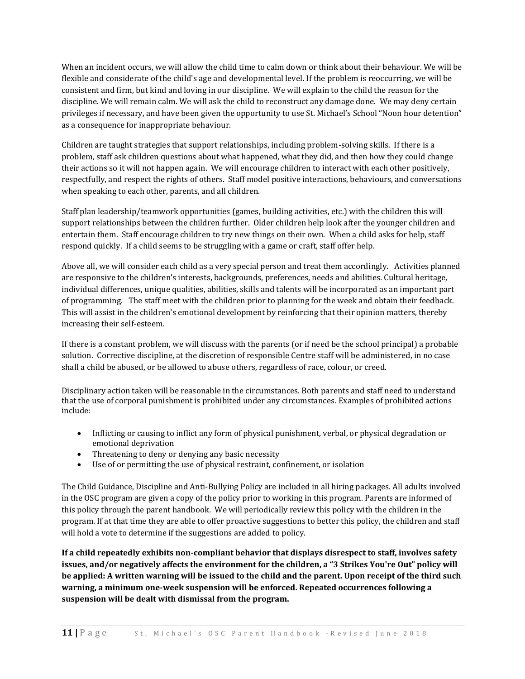When an incident occurs, we will allow the child time to calm down or think about their behaviour. We will be flexible and considerate of the child's age and developmental level. If the problem is reoccurring, we will be consistent and firm, but kind and loving in our discipline. We will explain to the child the reason for the discipline. We will remain calm. We will ask the child to reconstruct any damage done. We may deny certain privileges if necessary, and have been given the opportunity to use St. Michael's School "Noon hour detention" as a consequence for inappropriate behaviour.

Children are taught strategies that support relationships, including problem-solving skills. If there is a problem, staff ask children questions about what happened, what they did, and then how they could change their actions so it will not happen again. We will encourage children to interact with each other positively, respectfully, and respect the rights of others. Staff model positive interactions, behaviours, and conversations when speaking to each other, parents, and all children.

Staff plan leadership/teamwork opportunities (games, building activities, etc.) with the children this will support relationships between the children further. Older children help look after the younger children and entertain them. Staff encourage children to try new things on their own. When a child asks for help, staff respond quickly. If a child seems to be struggling with a game or craft, staff offer help.

Above all, we will consider each child as a very special person and treat them accordingly. Activities planned are responsive to the children's interests, backgrounds, preferences, needs and abilities. Cultural heritage, individual differences, unique qualities, abilities, skills and talents will be incorporated as an important part of programming. The staff meet with the children prior to planning for the week and obtain their feedback. This will assist in the children's emotional development by reinforcing that their opinion matters, thereby increasing their self-esteem.

If there is a constant problem, we will discuss with the parents (or if need be the school principal) a probable solution. Corrective discipline, at the discretion of responsible Centre staff will be administered, in no case shall a child be abused, or be allowed to abuse others, regardless of race, colour, or creed.

Disciplinary action taken will be reasonable in the circumstances. Both parents and staff need to understand that the use of corporal punishment is prohibited under any circumstances. Examples of prohibited actions include:

- Inflicting or causing to inflict any form of physical punishment, verbal, or physical degradation or emotional deprivation
- Threatening to deny or denying any basic necessity
- Use of or permitting the use of physical restraint, confinement, or isolation

The Child Guidance, Discipline and Anti-Bullying Policy are included in all hiring packages. All adults involved in the OSC program are given a copy of the policy prior to working in this program. Parents are informed of this policy through the parent handbook. We will periodically review this policy with the children in the program. If at that time they are able to offer proactive suggestions to better this policy, the children and staff will hold a vote to determine if the suggestions are added to policy.

**If a child repeatedly exhibits non-compliant behavior that displays disrespect to staff, involves safety issues, and/or negatively affects the environment for the children, a "3 Strikes You're Out" policy will be applied: A written warning will be issued to the child and the parent. Upon receipt of the third such warning, a minimum one-week suspension will be enforced. Repeated occurrences following a suspension will be dealt with dismissal from the program.**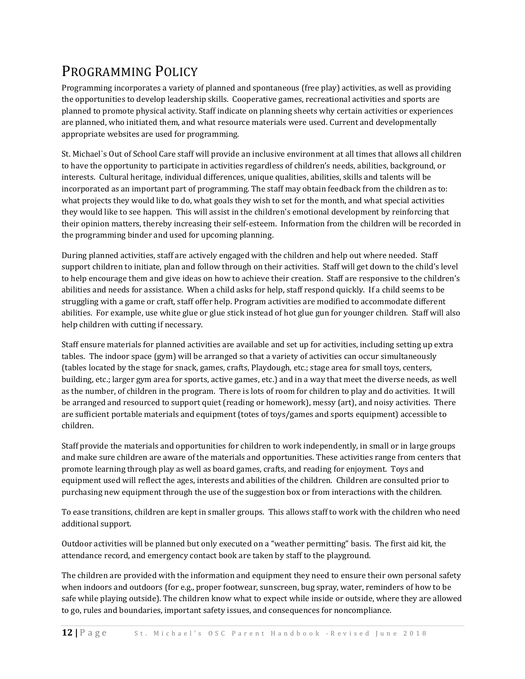## PROGRAMMING POLICY

Programming incorporates a variety of planned and spontaneous (free play) activities, as well as providing the opportunities to develop leadership skills. Cooperative games, recreational activities and sports are planned to promote physical activity. Staff indicate on planning sheets why certain activities or experiences are planned, who initiated them, and what resource materials were used. Current and developmentally appropriate websites are used for programming.

St. Michael`s Out of School Care staff will provide an inclusive environment at all times that allows all children to have the opportunity to participate in activities regardless of children's needs, abilities, background, or interests. Cultural heritage, individual differences, unique qualities, abilities, skills and talents will be incorporated as an important part of programming. The staff may obtain feedback from the children as to: what projects they would like to do, what goals they wish to set for the month, and what special activities they would like to see happen. This will assist in the children's emotional development by reinforcing that their opinion matters, thereby increasing their self-esteem. Information from the children will be recorded in the programming binder and used for upcoming planning.

During planned activities, staff are actively engaged with the children and help out where needed. Staff support children to initiate, plan and follow through on their activities. Staff will get down to the child's level to help encourage them and give ideas on how to achieve their creation. Staff are responsive to the children's abilities and needs for assistance. When a child asks for help, staff respond quickly. If a child seems to be struggling with a game or craft, staff offer help. Program activities are modified to accommodate different abilities. For example, use white glue or glue stick instead of hot glue gun for younger children. Staff will also help children with cutting if necessary.

Staff ensure materials for planned activities are available and set up for activities, including setting up extra tables. The indoor space (gym) will be arranged so that a variety of activities can occur simultaneously (tables located by the stage for snack, games, crafts, Playdough, etc.; stage area for small toys, centers, building, etc.; larger gym area for sports, active games, etc.) and in a way that meet the diverse needs, as well as the number, of children in the program. There is lots of room for children to play and do activities. It will be arranged and resourced to support quiet (reading or homework), messy (art), and noisy activities. There are sufficient portable materials and equipment (totes of toys/games and sports equipment) accessible to children.

Staff provide the materials and opportunities for children to work independently, in small or in large groups and make sure children are aware of the materials and opportunities. These activities range from centers that promote learning through play as well as board games, crafts, and reading for enjoyment. Toys and equipment used will reflect the ages, interests and abilities of the children. Children are consulted prior to purchasing new equipment through the use of the suggestion box or from interactions with the children.

To ease transitions, children are kept in smaller groups. This allows staff to work with the children who need additional support.

Outdoor activities will be planned but only executed on a "weather permitting" basis. The first aid kit, the attendance record, and emergency contact book are taken by staff to the playground.

The children are provided with the information and equipment they need to ensure their own personal safety when indoors and outdoors (for e.g., proper footwear, sunscreen, bug spray, water, reminders of how to be safe while playing outside). The children know what to expect while inside or outside, where they are allowed to go, rules and boundaries, important safety issues, and consequences for noncompliance.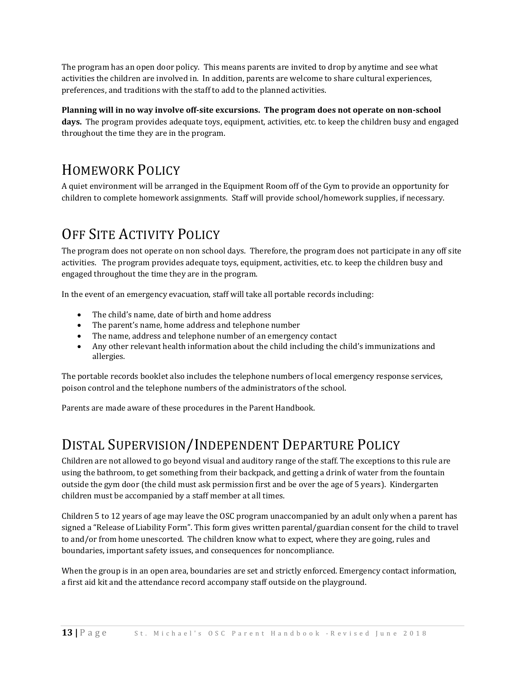The program has an open door policy. This means parents are invited to drop by anytime and see what activities the children are involved in. In addition, parents are welcome to share cultural experiences, preferences, and traditions with the staff to add to the planned activities.

#### **Planning will in no way involve off-site excursions. The program does not operate on non-school**

**days.** The program provides adequate toys, equipment, activities, etc. to keep the children busy and engaged throughout the time they are in the program.

## HOMEWORK POLICY

A quiet environment will be arranged in the Equipment Room off of the Gym to provide an opportunity for children to complete homework assignments. Staff will provide school/homework supplies, if necessary.

## OFF SITE ACTIVITY POLICY

The program does not operate on non school days. Therefore, the program does not participate in any off site activities. The program provides adequate toys, equipment, activities, etc. to keep the children busy and engaged throughout the time they are in the program.

In the event of an emergency evacuation, staff will take all portable records including:

- The child's name, date of birth and home address
- The parent's name, home address and telephone number
- The name, address and telephone number of an emergency contact
- Any other relevant health information about the child including the child's immunizations and allergies.

The portable records booklet also includes the telephone numbers of local emergency response services, poison control and the telephone numbers of the administrators of the school.

Parents are made aware of these procedures in the Parent Handbook.

### DISTAL SUPERVISION/INDEPENDENT DEPARTURE POLICY

Children are not allowed to go beyond visual and auditory range of the staff. The exceptions to this rule are using the bathroom, to get something from their backpack, and getting a drink of water from the fountain outside the gym door (the child must ask permission first and be over the age of 5 years). Kindergarten children must be accompanied by a staff member at all times.

Children 5 to 12 years of age may leave the OSC program unaccompanied by an adult only when a parent has signed a "Release of Liability Form". This form gives written parental/guardian consent for the child to travel to and/or from home unescorted. The children know what to expect, where they are going, rules and boundaries, important safety issues, and consequences for noncompliance.

When the group is in an open area, boundaries are set and strictly enforced. Emergency contact information, a first aid kit and the attendance record accompany staff outside on the playground.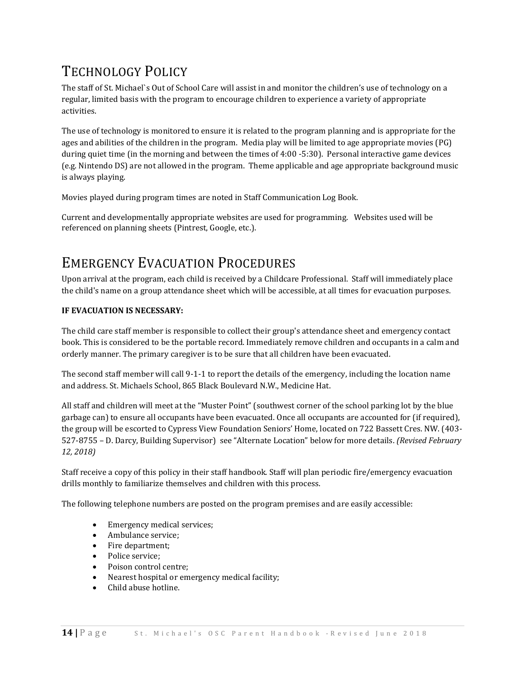## TECHNOLOGY POLICY

The staff of St. Michael`s Out of School Care will assist in and monitor the children's use of technology on a regular, limited basis with the program to encourage children to experience a variety of appropriate activities.

The use of technology is monitored to ensure it is related to the program planning and is appropriate for the ages and abilities of the children in the program. Media play will be limited to age appropriate movies (PG) during quiet time (in the morning and between the times of 4:00 -5:30). Personal interactive game devices (e.g. Nintendo DS) are not allowed in the program. Theme applicable and age appropriate background music is always playing.

Movies played during program times are noted in Staff Communication Log Book.

Current and developmentally appropriate websites are used for programming. Websites used will be referenced on planning sheets (Pintrest, Google, etc.).

## EMERGENCY EVACUATION PROCEDURES

Upon arrival at the program, each child is received by a Childcare Professional. Staff will immediately place the child's name on a group attendance sheet which will be accessible, at all times for evacuation purposes.

#### **IF EVACUATION IS NECESSARY:**

The child care staff member is responsible to collect their group's attendance sheet and emergency contact book. This is considered to be the portable record. Immediately remove children and occupants in a calm and orderly manner. The primary caregiver is to be sure that all children have been evacuated.

The second staff member will call 9-1-1 to report the details of the emergency, including the location name and address. St. Michaels School, 865 Black Boulevard N.W., Medicine Hat.

All staff and children will meet at the "Muster Point" (southwest corner of the school parking lot by the blue garbage can) to ensure all occupants have been evacuated. Once all occupants are accounted for (if required), the group will be escorted to Cypress View Foundation Seniors' Home, located on 722 Bassett Cres. NW. (403- 527-8755 – D. Darcy, Building Supervisor) see "Alternate Location" below for more details. *(Revised February 12, 2018)*

Staff receive a copy of this policy in their staff handbook. Staff will plan periodic fire/emergency evacuation drills monthly to familiarize themselves and children with this process.

The following telephone numbers are posted on the program premises and are easily accessible:

- Emergency medical services;
- Ambulance service;
- Fire department;
- Police service;
- Poison control centre;
- Nearest hospital or emergency medical facility;
- Child abuse hotline.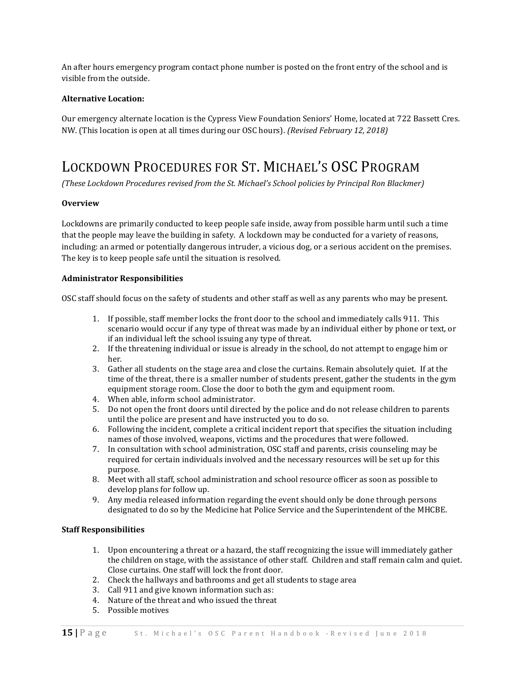An after hours emergency program contact phone number is posted on the front entry of the school and is visible from the outside.

#### **Alternative Location:**

Our emergency alternate location is the Cypress View Foundation Seniors' Home, located at 722 Bassett Cres. NW. (This location is open at all times during our OSC hours). *(Revised February 12, 2018)*

### LOCKDOWN PROCEDURES FOR ST. MICHAEL'S OSC PROGRAM

*(These Lockdown Procedures revised from the St. Michael's School policies by Principal Ron Blackmer)*

#### **Overview**

Lockdowns are primarily conducted to keep people safe inside, away from possible harm until such a time that the people may leave the building in safety. A lockdown may be conducted for a variety of reasons, including: an armed or potentially dangerous intruder, a vicious dog, or a serious accident on the premises. The key is to keep people safe until the situation is resolved.

#### **Administrator Responsibilities**

OSC staff should focus on the safety of students and other staff as well as any parents who may be present.

- 1. If possible, staff member locks the front door to the school and immediately calls 911. This scenario would occur if any type of threat was made by an individual either by phone or text, or if an individual left the school issuing any type of threat.
- 2. If the threatening individual or issue is already in the school, do not attempt to engage him or her.
- 3. Gather all students on the stage area and close the curtains. Remain absolutely quiet. If at the time of the threat, there is a smaller number of students present, gather the students in the gym equipment storage room. Close the door to both the gym and equipment room.
- 4. When able, inform school administrator.
- 5. Do not open the front doors until directed by the police and do not release children to parents until the police are present and have instructed you to do so.
- 6. Following the incident, complete a critical incident report that specifies the situation including names of those involved, weapons, victims and the procedures that were followed.
- 7. In consultation with school administration, OSC staff and parents, crisis counseling may be required for certain individuals involved and the necessary resources will be set up for this purpose.
- 8. Meet with all staff, school administration and school resource officer as soon as possible to develop plans for follow up.
- 9. Any media released information regarding the event should only be done through persons designated to do so by the Medicine hat Police Service and the Superintendent of the MHCBE.

#### **Staff Responsibilities**

- 1. Upon encountering a threat or a hazard, the staff recognizing the issue will immediately gather the children on stage, with the assistance of other staff. Children and staff remain calm and quiet. Close curtains. One staff will lock the front door.
- 2. Check the hallways and bathrooms and get all students to stage area
- 3. Call 911 and give known information such as:
- 4. Nature of the threat and who issued the threat
- 5. Possible motives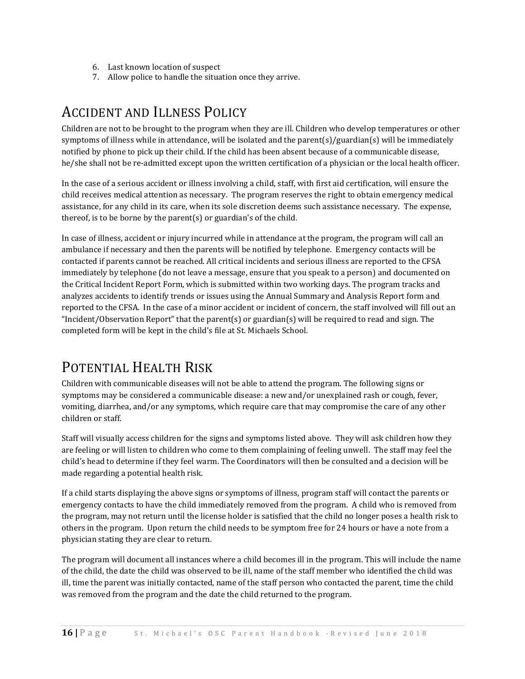- 6. Last known location of suspect
- 7. Allow police to handle the situation once they arrive.

### ACCIDENT AND ILLNESS POLICY

Children are not to be brought to the program when they are ill. Children who develop temperatures or other symptoms of illness while in attendance, will be isolated and the parent(s)/guardian(s) will be immediately notified by phone to pick up their child. If the child has been absent because of a communicable disease, he/she shall not be re-admitted except upon the written certification of a physician or the local health officer.

In the case of a serious accident or illness involving a child, staff, with first aid certification, will ensure the child receives medical attention as necessary. The program reserves the right to obtain emergency medical assistance, for any child in its care, when its sole discretion deems such assistance necessary.The expense, thereof, is to be borne by the parent(s) or guardian's of the child.

In case of illness, accident or injury incurred while in attendance at the program, the program will call an ambulance if necessary and then the parents will be notified by telephone. Emergency contacts will be contacted if parents cannot be reached. All critical incidents and serious illness are reported to the CFSA immediately by telephone (do not leave a message, ensure that you speak to a person) and documented on the Critical Incident Report Form, which is submitted within two working days. The program tracks and analyzes accidents to identify trends or issues using the Annual Summary and Analysis Report form and reported to the CFSA. In the case of a minor accident or incident of concern, the staff involved will fill out an "Incident/Observation Report" that the parent(s) or guardian(s) will be required to read and sign. The completed form will be kept in the child's file at St. Michaels School.

### POTENTIAL HEALTH RISK

Children with communicable diseases will not be able to attend the program. The following signs or symptoms may be considered a communicable disease: a new and/or unexplained rash or cough, fever, vomiting, diarrhea, and/or any symptoms, which require care that may compromise the care of any other children or staff.

Staff will visually access children for the signs and symptoms listed above. They will ask children how they are feeling or will listen to children who come to them complaining of feeling unwell. The staff may feel the child's head to determine if they feel warm. The Coordinators will then be consulted and a decision will be made regarding a potential health risk.

If a child starts displaying the above signs or symptoms of illness, program staff will contact the parents or emergency contacts to have the child immediately removed from the program. A child who is removed from the program, may not return until the license holder is satisfied that the child no longer poses a health risk to others in the program. Upon return the child needs to be symptom free for 24 hours or have a note from a physician stating they are clear to return.

The program will document all instances where a child becomes ill in the program. This will include the name of the child, the date the child was observed to be ill, name of the staff member who identified the child was ill, time the parent was initially contacted, name of the staff person who contacted the parent, time the child was removed from the program and the date the child returned to the program.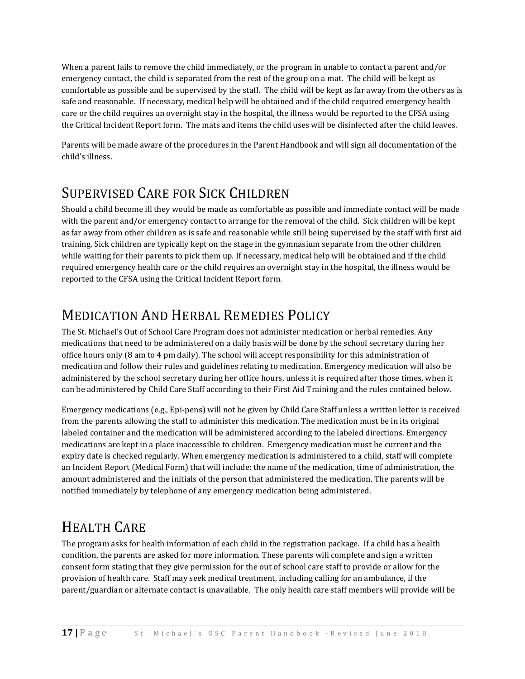When a parent fails to remove the child immediately, or the program in unable to contact a parent and/or emergency contact, the child is separated from the rest of the group on a mat. The child will be kept as comfortable as possible and be supervised by the staff. The child will be kept as far away from the others as is safe and reasonable. If necessary, medical help will be obtained and if the child required emergency health care or the child requires an overnight stay in the hospital, the illness would be reported to the CFSA using the Critical Incident Report form. The mats and items the child uses will be disinfected after the child leaves.

Parents will be made aware of the procedures in the Parent Handbook and will sign all documentation of the child's illness.

## SUPERVISED CARE FOR SICK CHILDREN

Should a child become ill they would be made as comfortable as possible and immediate contact will be made with the parent and/or emergency contact to arrange for the removal of the child. Sick children will be kept as far away from other children as is safe and reasonable while still being supervised by the staff with first aid training. Sick children are typically kept on the stage in the gymnasium separate from the other children while waiting for their parents to pick them up. If necessary, medical help will be obtained and if the child required emergency health care or the child requires an overnight stay in the hospital, the illness would be reported to the CFSA using the Critical Incident Report form.

## MEDICATION AND HERBAL REMEDIES POLICY

The St. Michael's Out of School Care Program does not administer medication or herbal remedies. Any medications that need to be administered on a daily basis will be done by the school secretary during her office hours only (8 am to 4 pm daily). The school will accept responsibility for this administration of medication and follow their rules and guidelines relating to medication. Emergency medication will also be administered by the school secretary during her office hours, unless it is required after those times, when it can be administered by Child Care Staff according to their First Aid Training and the rules contained below.

Emergency medications (e.g., Epi-pens) will not be given by Child Care Staff unless a written letter is received from the parents allowing the staff to administer this medication. The medication must be in its original labeled container and the medication will be administered according to the labeled directions. Emergency medications are kept in a place inaccessible to children. Emergency medication must be current and the expiry date is checked regularly. When emergency medication is administered to a child, staff will complete an Incident Report (Medical Form) that will include: the name of the medication, time of administration, the amount administered and the initials of the person that administered the medication. The parents will be notified immediately by telephone of any emergency medication being administered.

## HEALTH CARE

The program asks for health information of each child in the registration package. If a child has a health condition, the parents are asked for more information. These parents will complete and sign a written consent form stating that they give permission for the out of school care staff to provide or allow for the provision of health care. Staff may seek medical treatment, including calling for an ambulance, if the parent/guardian or alternate contact is unavailable. The only health care staff members will provide will be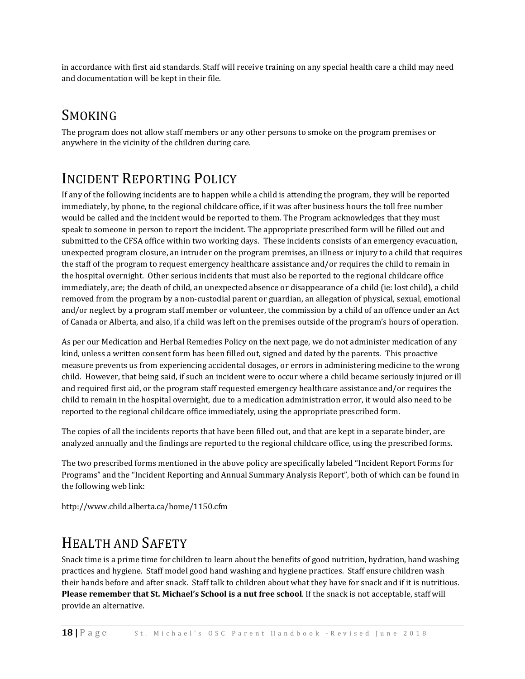in accordance with first aid standards. Staff will receive training on any special health care a child may need and documentation will be kept in their file.

## SMOKING

The program does not allow staff members or any other persons to smoke on the program premises or anywhere in the vicinity of the children during care.

## INCIDENT REPORTING POLICY

If any of the following incidents are to happen while a child is attending the program, they will be reported immediately, by phone, to the regional childcare office, if it was after business hours the toll free number would be called and the incident would be reported to them. The Program acknowledges that they must speak to someone in person to report the incident. The appropriate prescribed form will be filled out and submitted to the CFSA office within two working days. These incidents consists of an emergency evacuation, unexpected program closure, an intruder on the program premises, an illness or injury to a child that requires the staff of the program to request emergency healthcare assistance and/or requires the child to remain in the hospital overnight. Other serious incidents that must also be reported to the regional childcare office immediately, are; the death of child, an unexpected absence or disappearance of a child (ie: lost child), a child removed from the program by a non-custodial parent or guardian, an allegation of physical, sexual, emotional and/or neglect by a program staff member or volunteer, the commission by a child of an offence under an Act of Canada or Alberta, and also, if a child was left on the premises outside of the program's hours of operation.

As per our Medication and Herbal Remedies Policy on the next page, we do not administer medication of any kind, unless a written consent form has been filled out, signed and dated by the parents. This proactive measure prevents us from experiencing accidental dosages, or errors in administering medicine to the wrong child. However, that being said, if such an incident were to occur where a child became seriously injured or ill and required first aid, or the program staff requested emergency healthcare assistance and/or requires the child to remain in the hospital overnight, due to a medication administration error, it would also need to be reported to the regional childcare office immediately, using the appropriate prescribed form.

The copies of all the incidents reports that have been filled out, and that are kept in a separate binder, are analyzed annually and the findings are reported to the regional childcare office, using the prescribed forms.

The two prescribed forms mentioned in the above policy are specifically labeled "Incident Report Forms for Programs" and the "Incident Reporting and Annual Summary Analysis Report", both of which can be found in the following web link:

<http://www.child.alberta.ca/home/1150.cfm>

## HEALTH AND SAFETY

Snack time is a prime time for children to learn about the benefits of good nutrition, hydration, hand washing practices and hygiene. Staff model good hand washing and hygiene practices. Staff ensure children wash their hands before and after snack. Staff talk to children about what they have for snack and if it is nutritious. **Please remember that St. Michael's School is a nut free school**. If the snack is not acceptable, staff will provide an alternative.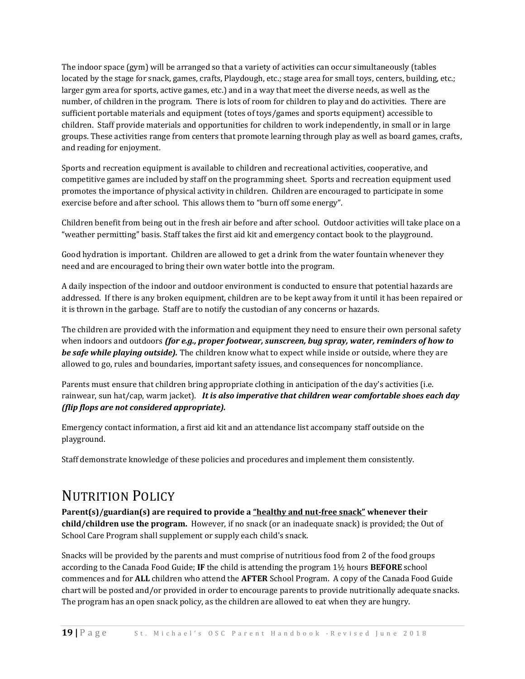The indoor space (gym) will be arranged so that a variety of activities can occur simultaneously (tables located by the stage for snack, games, crafts, Playdough, etc.; stage area for small toys, centers, building, etc.; larger gym area for sports, active games, etc.) and in a way that meet the diverse needs, as well as the number, of children in the program. There is lots of room for children to play and do activities. There are sufficient portable materials and equipment (totes of toys/games and sports equipment) accessible to children. Staff provide materials and opportunities for children to work independently, in small or in large groups. These activities range from centers that promote learning through play as well as board games, crafts, and reading for enjoyment.

Sports and recreation equipment is available to children and recreational activities, cooperative, and competitive games are included by staff on the programming sheet. Sports and recreation equipment used promotes the importance of physical activity in children. Children are encouraged to participate in some exercise before and after school. This allows them to "burn off some energy".

Children benefit from being out in the fresh air before and after school. Outdoor activities will take place on a "weather permitting" basis. Staff takes the first aid kit and emergency contact book to the playground.

Good hydration is important. Children are allowed to get a drink from the water fountain whenever they need and are encouraged to bring their own water bottle into the program.

A daily inspection of the indoor and outdoor environment is conducted to ensure that potential hazards are addressed. If there is any broken equipment, children are to be kept away from it until it has been repaired or it is thrown in the garbage. Staff are to notify the custodian of any concerns or hazards.

The children are provided with the information and equipment they need to ensure their own personal safety when indoors and outdoors *(for e.g., proper footwear, sunscreen, bug spray, water, reminders of how to be safe while playing outside).* The children know what to expect while inside or outside, where they are allowed to go, rules and boundaries, important safety issues, and consequences for noncompliance.

Parents must ensure that children bring appropriate clothing in anticipation of the day's activities (i.e. rainwear, sun hat/cap, warm jacket). *It is also imperative that children wear comfortable shoes each day (flip flops are not considered appropriate).*

Emergency contact information, a first aid kit and an attendance list accompany staff outside on the playground.

Staff demonstrate knowledge of these policies and procedures and implement them consistently.

#### NUTRITION POLICY

**Parent(s)/guardian(s) are required to provide a "healthy and nut-free snack" whenever their child/children use the program.** However, if no snack (or an inadequate snack) is provided; the Out of School Care Program shall supplement or supply each child's snack.

Snacks will be provided by the parents and must comprise of nutritious food from 2 of the food groups according to the Canada Food Guide; **IF** the child is attending the program 1½ hours **BEFORE** school commences and for **ALL** children who attend the **AFTER** School Program. A copy of the Canada Food Guide chart will be posted and/or provided in order to encourage parents to provide nutritionally adequate snacks. The program has an open snack policy, as the children are allowed to eat when they are hungry.